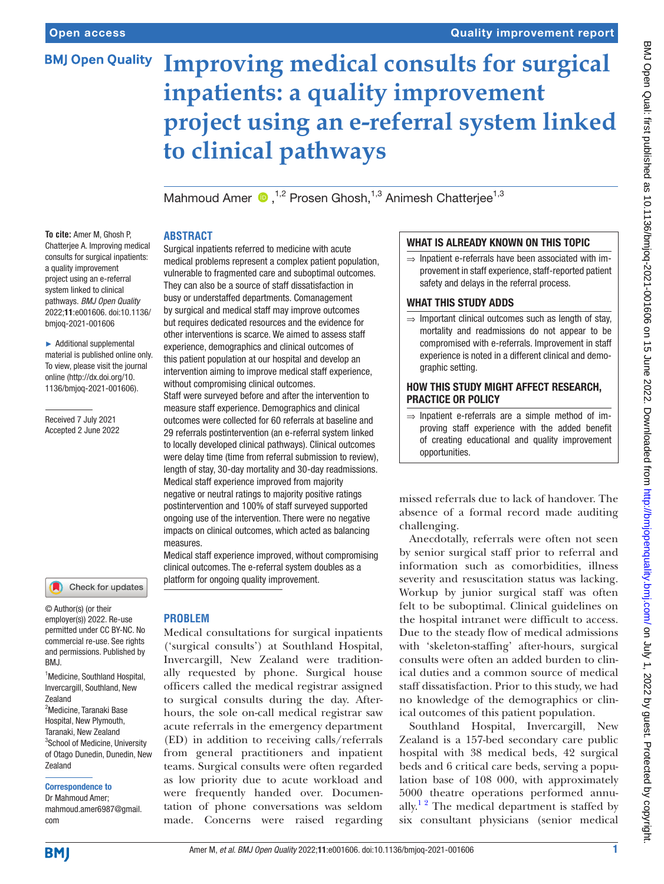# **BMJ Open Quality**

# Quality improvement report

# **Improving medical consults for surgical inpatients: a quality improvement project using an e-referral system linked to clinical pathways**

MahmoudAmer  $\bullet$ ,<sup>1,2</sup> Prosen Ghosh,<sup>1,3</sup> Animesh Chatteriee<sup>1,3</sup>

# **ABSTRACT**

**To cite:** Amer M, Ghosh P, Chatterjee A. Improving medical consults for surgical inpatients: a quality improvement project using an e-referral system linked to clinical pathways. *BMJ Open Quality* 2022;11:e001606. doi:10.1136/ bmjoq-2021-001606

► Additional supplemental material is published online only. To view, please visit the journal online [\(http://dx.doi.org/10.](http://dx.doi.org/10.1136/bmjoq-2021-001606) [1136/bmjoq-2021-001606](http://dx.doi.org/10.1136/bmjoq-2021-001606)).

Received 7 July 2021 Accepted 2 June 2022



© Author(s) (or their employer(s)) 2022. Re-use permitted under CC BY-NC. No commercial re-use. See rights and permissions. Published by RM<sub>J</sub>

<sup>1</sup> Medicine, Southland Hospital, Invercargill, Southland, New Zealand <sup>2</sup>Medicine, Taranaki Base Hospital, New Plymouth, Taranaki, New Zealand <sup>3</sup>School of Medicine, University of Otago Dunedin, Dunedin, New Zealand

#### Correspondence to

Dr Mahmoud Amer; mahmoud.amer6987@gmail. com

Surgical inpatients referred to medicine with acute medical problems represent a complex patient population, vulnerable to fragmented care and suboptimal outcomes. They can also be a source of staff dissatisfaction in busy or understaffed departments. Comanagement by surgical and medical staff may improve outcomes but requires dedicated resources and the evidence for other interventions is scarce. We aimed to assess staff experience, demographics and clinical outcomes of this patient population at our hospital and develop an intervention aiming to improve medical staff experience, without compromising clinical outcomes. Staff were surveyed before and after the intervention to measure staff experience. Demographics and clinical

outcomes were collected for 60 referrals at baseline and 29 referrals postintervention (an e-referral system linked to locally developed clinical pathways). Clinical outcomes were delay time (time from referral submission to review), length of stay, 30-day mortality and 30-day readmissions. Medical staff experience improved from majority negative or neutral ratings to majority positive ratings postintervention and 100% of staff surveyed supported ongoing use of the intervention. There were no negative impacts on clinical outcomes, which acted as balancing measures.

Medical staff experience improved, without compromising clinical outcomes. The e-referral system doubles as a platform for ongoing quality improvement.

# **PROBLEM**

Medical consultations for surgical inpatients ('surgical consults') at Southland Hospital, Invercargill, New Zealand were traditionally requested by phone. Surgical house officers called the medical registrar assigned to surgical consults during the day. Afterhours, the sole on-call medical registrar saw acute referrals in the emergency department (ED) in addition to receiving calls/referrals from general practitioners and inpatient teams. Surgical consults were often regarded as low priority due to acute workload and were frequently handed over. Documentation of phone conversations was seldom made. Concerns were raised regarding

# WHAT IS ALREADY KNOWN ON THIS TOPIC

 $\Rightarrow$  Inpatient e-referrals have been associated with improvement in staff experience, staff-reported patient safety and delays in the referral process.

## WHAT THIS STUDY ADDS

 $\Rightarrow$  Important clinical outcomes such as length of stay, mortality and readmissions do not appear to be compromised with e-referrals. Improvement in staff experience is noted in a different clinical and demographic setting.

## HOW THIS STUDY MIGHT AFFECT RESEARCH, PRACTICE OR POLICY

 $\Rightarrow$  Inpatient e-referrals are a simple method of improving staff experience with the added benefit of creating educational and quality improvement opportunities.

missed referrals due to lack of handover. The absence of a formal record made auditing challenging.

Anecdotally, referrals were often not seen by senior surgical staff prior to referral and information such as comorbidities, illness severity and resuscitation status was lacking. Workup by junior surgical staff was often felt to be suboptimal. Clinical guidelines on the hospital intranet were difficult to access. Due to the steady flow of medical admissions with 'skeleton-staffing' after-hours, surgical consults were often an added burden to clinical duties and a common source of medical staff dissatisfaction. Prior to this study, we had no knowledge of the demographics or clinical outcomes of this patient population.

Southland Hospital, Invercargill, New Zealand is a 157-bed secondary care public hospital with 38 medical beds, 42 surgical beds and 6 critical care beds, serving a population base of 108 000, with approximately 5000 theatre operations performed annually.<sup>12</sup> The medical department is staffed by six consultant physicians (senior medical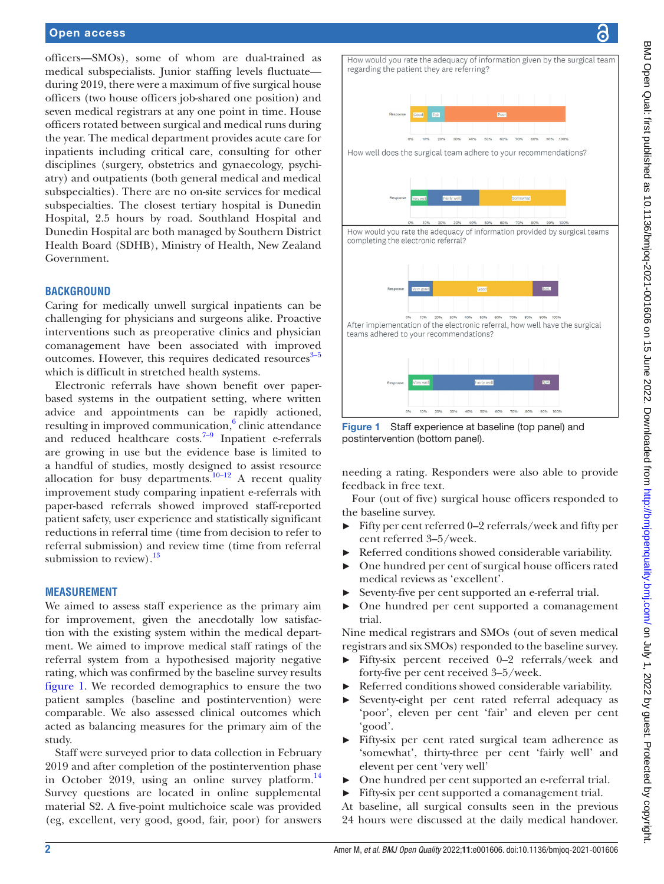#### Open access

officers—SMOs), some of whom are dual-trained as medical subspecialists. Junior staffing levels fluctuate during 2019, there were a maximum of five surgical house officers (two house officers job-shared one position) and seven medical registrars at any one point in time. House officers rotated between surgical and medical runs during the year. The medical department provides acute care for inpatients including critical care, consulting for other disciplines (surgery, obstetrics and gynaecology, psychiatry) and outpatients (both general medical and medical subspecialties). There are no on-site services for medical subspecialties. The closest tertiary hospital is Dunedin Hospital, 2.5 hours by road. Southland Hospital and Dunedin Hospital are both managed by Southern District Health Board (SDHB), Ministry of Health, New Zealand Government.

#### **BACKGROUND**

Caring for medically unwell surgical inpatients can be challenging for physicians and surgeons alike. Proactive interventions such as preoperative clinics and physician comanagement have been associated with improved outcomes. However, this requires dedicated resources $3-5$ which is difficult in stretched health systems.

Electronic referrals have shown benefit over paperbased systems in the outpatient setting, where written advice and appointments can be rapidly actioned, resulting in improved communication,<sup>6</sup> clinic attendance and reduced healthcare costs. $7-9$  Inpatient e-referrals are growing in use but the evidence base is limited to a handful of studies, mostly designed to assist resource allocation for busy departments.<sup>[10–12](#page-7-4)</sup> A recent quality improvement study comparing inpatient e-referrals with paper-based referrals showed improved staff-reported patient safety, user experience and statistically significant reductions in referral time (time from decision to refer to referral submission) and review time (time from referral submission to review). $^{13}$  $^{13}$  $^{13}$ 

#### **MEASUREMENT**

We aimed to assess staff experience as the primary aim for improvement, given the anecdotally low satisfaction with the existing system within the medical department. We aimed to improve medical staff ratings of the referral system from a hypothesised majority negative rating, which was confirmed by the baseline survey results [figure](#page-1-0) 1. We recorded demographics to ensure the two patient samples (baseline and postintervention) were comparable. We also assessed clinical outcomes which acted as balancing measures for the primary aim of the study.

Staff were surveyed prior to data collection in February 2019 and after completion of the postintervention phase in October 2019, using an online survey platform. $^{14}$ Survey questions are located in [online supplemental](https://dx.doi.org/10.1136/bmjoq-2021-001606) [material S2](https://dx.doi.org/10.1136/bmjoq-2021-001606). A five-point multichoice scale was provided (eg, excellent, very good, good, fair, poor) for answers

How would you rate the adequacy of information given by the surgical team regarding the patient they are referring?



<span id="page-1-0"></span>Figure 1 Staff experience at baseline (top panel) and postintervention (bottom panel).

30%

needing a rating. Responders were also able to provide feedback in free text.

40% 50% 60% 70% 80% 90%

Four (out of five) surgical house officers responded to the baseline survey.

- ► Fifty per cent referred 0–2 referrals/week and fifty per cent referred 3–5/week.
- Referred conditions showed considerable variability.
- One hundred per cent of surgical house officers rated medical reviews as 'excellent'.
- Seventy-five per cent supported an e-referral trial.
- One hundred per cent supported a comanagement trial.

Nine medical registrars and SMOs (out of seven medical registrars and six SMOs) responded to the baseline survey.

- Fifty-six percent received 0–2 referrals/week and forty-five per cent received 3–5/week.
- Referred conditions showed considerable variability.
- Seventy-eight per cent rated referral adequacy as 'poor', eleven per cent 'fair' and eleven per cent 'good'.
- ► Fifty-six per cent rated surgical team adherence as 'somewhat', thirty-three per cent 'fairly well' and elevent per cent 'very well'
- ► One hundred per cent supported an e-referral trial.
- ► Fifty-six per cent supported a comanagement trial.
- At baseline, all surgical consults seen in the previous
- 24 hours were discussed at the daily medical handover.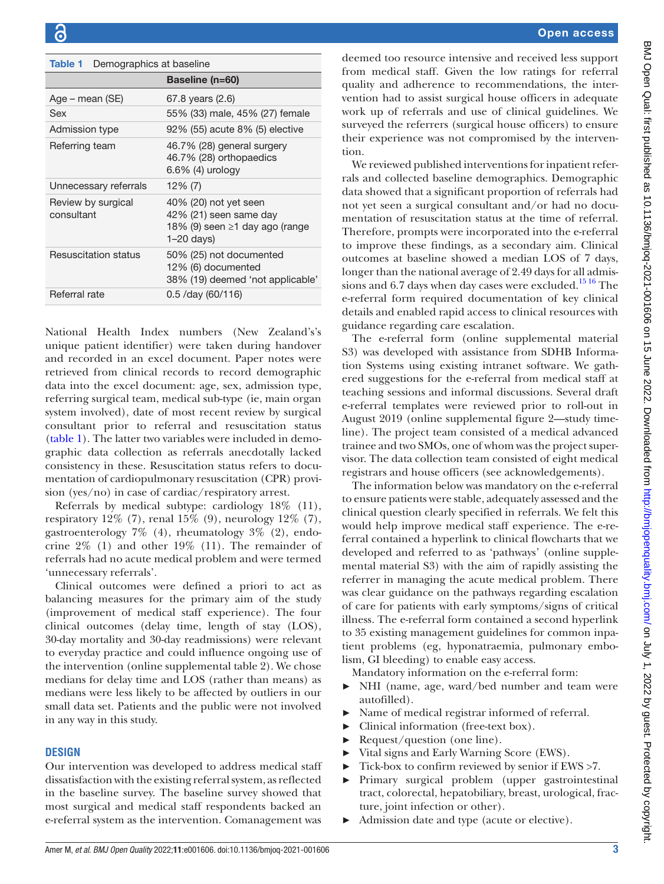<span id="page-2-0"></span>

| Demographics at baseline<br>Table 1 |                                                                                                     |  |
|-------------------------------------|-----------------------------------------------------------------------------------------------------|--|
|                                     | Baseline (n=60)                                                                                     |  |
| Age – mean (SE)                     | 67.8 years (2.6)                                                                                    |  |
| Sex                                 | 55% (33) male, 45% (27) female                                                                      |  |
| Admission type                      | 92% (55) acute 8% (5) elective                                                                      |  |
| Referring team                      | 46.7% (28) general surgery<br>46.7% (28) orthopaedics<br>$6.6\%$ (4) urology                        |  |
| Unnecessary referrals               | $12\%$ (7)                                                                                          |  |
| Review by surgical<br>consultant    | 40% (20) not yet seen<br>42% (21) seen same day<br>18% (9) seen ≥1 day ago (range<br>$1 - 20$ days) |  |
| <b>Resuscitation status</b>         | 50% (25) not documented                                                                             |  |

Referral rate 0.5 /day (60/116)

National Health Index numbers (New Zealand's's unique patient identifier) were taken during handover and recorded in an excel document. Paper notes were retrieved from clinical records to record demographic data into the excel document: age, sex, admission type, referring surgical team, medical sub-type (ie, main organ system involved), date of most recent review by surgical consultant prior to referral and resuscitation status ([table](#page-2-0) 1). The latter two variables were included in demographic data collection as referrals anecdotally lacked consistency in these. Resuscitation status refers to documentation of cardiopulmonary resuscitation (CPR) provision (yes/no) in case of cardiac/respiratory arrest.

12% (6) documented

38% (19) deemed 'not applicable'

Referrals by medical subtype: cardiology 18% (11), respiratory  $12\%$  (7), renal  $15\%$  (9), neurology  $12\%$  (7), gastroenterology 7% (4), rheumatology 3% (2), endocrine 2% (1) and other 19% (11). The remainder of referrals had no acute medical problem and were termed 'unnecessary referrals'.

Clinical outcomes were defined a priori to act as balancing measures for the primary aim of the study (improvement of medical staff experience). The four clinical outcomes (delay time, length of stay (LOS), 30-day mortality and 30-day readmissions) were relevant to everyday practice and could influence ongoing use of the intervention ([online supplemental table 2\)](https://dx.doi.org/10.1136/bmjoq-2021-001606). We chose medians for delay time and LOS (rather than means) as medians were less likely to be affected by outliers in our small data set. Patients and the public were not involved in any way in this study.

# **DESIGN**

Our intervention was developed to address medical staff dissatisfaction with the existing referral system, as reflected in the baseline survey. The baseline survey showed that most surgical and medical staff respondents backed an e-referral system as the intervention. Comanagement was

deemed too resource intensive and received less support from medical staff. Given the low ratings for referral quality and adherence to recommendations, the intervention had to assist surgical house officers in adequate work up of referrals and use of clinical guidelines. We surveyed the referrers (surgical house officers) to ensure their experience was not compromised by the intervention.

We reviewed published interventions for inpatient referrals and collected baseline demographics. Demographic data showed that a significant proportion of referrals had not yet seen a surgical consultant and/or had no documentation of resuscitation status at the time of referral. Therefore, prompts were incorporated into the e-referral to improve these findings, as a secondary aim. Clinical outcomes at baseline showed a median LOS of 7 days, longer than the national average of 2.49 days for all admissions and 6.7 days when day cases were excluded.<sup>1516</sup> The e-referral form required documentation of key clinical details and enabled rapid access to clinical resources with guidance regarding care escalation.

The e-referral form ([online supplemental material](https://dx.doi.org/10.1136/bmjoq-2021-001606)  [S3](https://dx.doi.org/10.1136/bmjoq-2021-001606)) was developed with assistance from SDHB Information Systems using existing intranet software. We gathered suggestions for the e-referral from medical staff at teaching sessions and informal discussions. Several draft e-referral templates were reviewed prior to roll-out in August 2019 ([online supplemental figure 2—](https://dx.doi.org/10.1136/bmjoq-2021-001606)study timeline). The project team consisted of a medical advanced trainee and two SMOs, one of whom was the project supervisor. The data collection team consisted of eight medical registrars and house officers (see acknowledgements).

The information below was mandatory on the e-referral to ensure patients were stable, adequately assessed and the clinical question clearly specified in referrals. We felt this would help improve medical staff experience. The e-referral contained a hyperlink to clinical flowcharts that we developed and referred to as 'pathways' ([online supple](https://dx.doi.org/10.1136/bmjoq-2021-001606)[mental material S3](https://dx.doi.org/10.1136/bmjoq-2021-001606)) with the aim of rapidly assisting the referrer in managing the acute medical problem. There was clear guidance on the pathways regarding escalation of care for patients with early symptoms/signs of critical illness. The e-referral form contained a second hyperlink to 35 existing management guidelines for common inpatient problems (eg, hyponatraemia, pulmonary embolism, GI bleeding) to enable easy access.

Mandatory information on the e-referral form:

- ► NHI (name, age, ward/bed number and team were autofilled).
- Name of medical registrar informed of referral.
- ► Clinical information (free-text box).
- ► Request/question (one line).
- ► Vital signs and Early Warning Score (EWS).
- ► Tick-box to confirm reviewed by senior if EWS >7.
- ► Primary surgical problem (upper gastrointestinal tract, colorectal, hepatobiliary, breast, urological, fracture, joint infection or other).
- ► Admission date and type (acute or elective).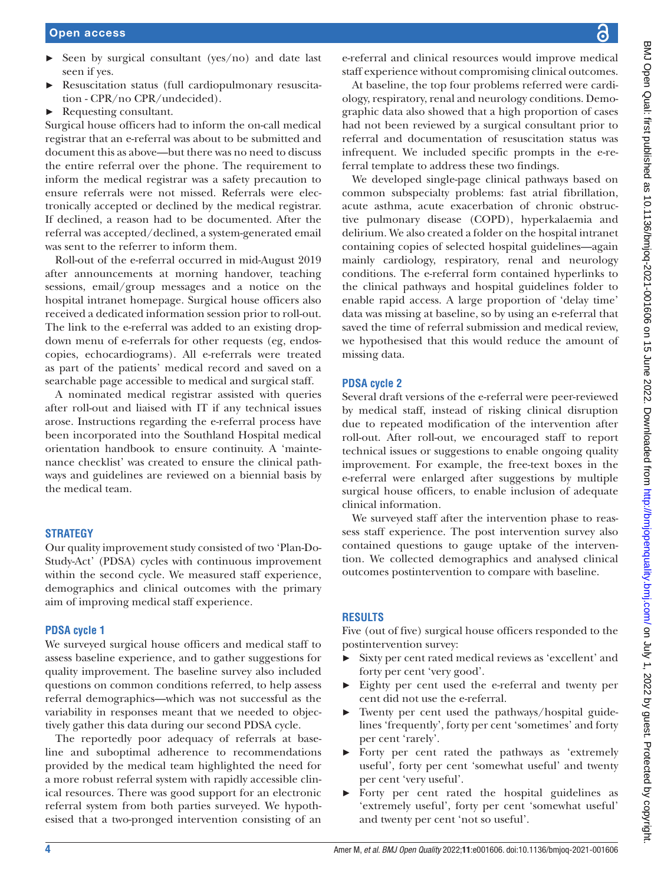- $\triangleright$  Seen by surgical consultant (yes/no) and date last seen if yes.
- Resuscitation status (full cardiopulmonary resuscitation - CPR/no CPR/undecided).
- ► Requesting consultant.

Surgical house officers had to inform the on-call medical registrar that an e-referral was about to be submitted and document this as above—but there was no need to discuss the entire referral over the phone. The requirement to inform the medical registrar was a safety precaution to ensure referrals were not missed. Referrals were electronically accepted or declined by the medical registrar. If declined, a reason had to be documented. After the referral was accepted/declined, a system-generated email was sent to the referrer to inform them.

Roll-out of the e-referral occurred in mid-August 2019 after announcements at morning handover, teaching sessions, email/group messages and a notice on the hospital intranet homepage. Surgical house officers also received a dedicated information session prior to roll-out. The link to the e-referral was added to an existing dropdown menu of e-referrals for other requests (eg, endoscopies, echocardiograms). All e-referrals were treated as part of the patients' medical record and saved on a searchable page accessible to medical and surgical staff.

A nominated medical registrar assisted with queries after roll-out and liaised with IT if any technical issues arose. Instructions regarding the e-referral process have been incorporated into the Southland Hospital medical orientation handbook to ensure continuity. A 'maintenance checklist' was created to ensure the clinical pathways and guidelines are reviewed on a biennial basis by the medical team.

# **STRATEGY**

Our quality improvement study consisted of two 'Plan-Do-Study-Act' (PDSA) cycles with continuous improvement within the second cycle. We measured staff experience, demographics and clinical outcomes with the primary aim of improving medical staff experience.

# **PDSA cycle 1**

We surveyed surgical house officers and medical staff to assess baseline experience, and to gather suggestions for quality improvement. The baseline survey also included questions on common conditions referred, to help assess referral demographics—which was not successful as the variability in responses meant that we needed to objectively gather this data during our second PDSA cycle.

The reportedly poor adequacy of referrals at baseline and suboptimal adherence to recommendations provided by the medical team highlighted the need for a more robust referral system with rapidly accessible clinical resources. There was good support for an electronic referral system from both parties surveyed. We hypothesised that a two-pronged intervention consisting of an

e-referral and clinical resources would improve medical staff experience without compromising clinical outcomes.

At baseline, the top four problems referred were cardiology, respiratory, renal and neurology conditions. Demographic data also showed that a high proportion of cases had not been reviewed by a surgical consultant prior to referral and documentation of resuscitation status was infrequent. We included specific prompts in the e-referral template to address these two findings.

We developed single-page clinical pathways based on common subspecialty problems: fast atrial fibrillation, acute asthma, acute exacerbation of chronic obstructive pulmonary disease (COPD), hyperkalaemia and delirium. We also created a folder on the hospital intranet containing copies of selected hospital guidelines—again mainly cardiology, respiratory, renal and neurology conditions. The e-referral form contained hyperlinks to the clinical pathways and hospital guidelines folder to enable rapid access. A large proportion of 'delay time' data was missing at baseline, so by using an e-referral that saved the time of referral submission and medical review, we hypothesised that this would reduce the amount of missing data.

# **PDSA cycle 2**

Several draft versions of the e-referral were peer-reviewed by medical staff, instead of risking clinical disruption due to repeated modification of the intervention after roll-out. After roll-out, we encouraged staff to report technical issues or suggestions to enable ongoing quality improvement. For example, the free-text boxes in the e-referral were enlarged after suggestions by multiple surgical house officers, to enable inclusion of adequate clinical information.

We surveyed staff after the intervention phase to reassess staff experience. The post intervention survey also contained questions to gauge uptake of the intervention. We collected demographics and analysed clinical outcomes postintervention to compare with baseline.

# **RESULTS**

Five (out of five) surgical house officers responded to the postintervention survey:

- Sixty per cent rated medical reviews as 'excellent' and forty per cent 'very good'.
- ► Eighty per cent used the e-referral and twenty per cent did not use the e-referral.
- Twenty per cent used the pathways/hospital guidelines 'frequently', forty per cent 'sometimes' and forty per cent 'rarely'.
- ► Forty per cent rated the pathways as 'extremely useful', forty per cent 'somewhat useful' and twenty per cent 'very useful'.
- ► Forty per cent rated the hospital guidelines as 'extremely useful', forty per cent 'somewhat useful' and twenty per cent 'not so useful'.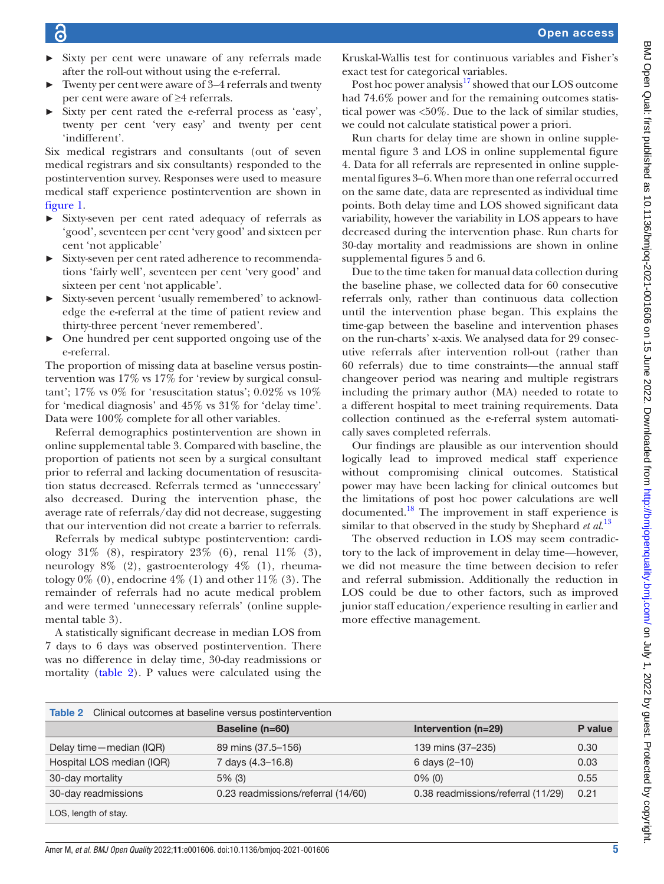- ► Sixty per cent were unaware of any referrals made after the roll-out without using the e-referral.
- Twenty per cent were aware of 3–4 referrals and twenty per cent were aware of ≥4 referrals.
- Sixty per cent rated the e-referral process as 'easy', twenty per cent 'very easy' and twenty per cent 'indifferent'.

Six medical registrars and consultants (out of seven medical registrars and six consultants) responded to the postintervention survey. Responses were used to measure medical staff experience postintervention are shown in [figure](#page-1-0) 1.

- ► Sixty-seven per cent rated adequacy of referrals as 'good', seventeen per cent 'very good' and sixteen per cent 'not applicable'
- ► Sixty-seven per cent rated adherence to recommendations 'fairly well', seventeen per cent 'very good' and sixteen per cent 'not applicable'.
- ► Sixty-seven percent 'usually remembered' to acknowledge the e-referral at the time of patient review and thirty-three percent 'never remembered'.
- ► One hundred per cent supported ongoing use of the e-referral.

The proportion of missing data at baseline versus postintervention was 17% vs 17% for 'review by surgical consultant'; 17% vs 0% for 'resuscitation status'; 0.02% vs 10% for 'medical diagnosis' and 45% vs 31% for 'delay time'. Data were 100% complete for all other variables.

Referral demographics postintervention are shown in [online supplemental table 3.](https://dx.doi.org/10.1136/bmjoq-2021-001606) Compared with baseline, the proportion of patients not seen by a surgical consultant prior to referral and lacking documentation of resuscitation status decreased. Referrals termed as 'unnecessary' also decreased. During the intervention phase, the average rate of referrals/day did not decrease, suggesting that our intervention did not create a barrier to referrals.

Referrals by medical subtype postintervention: cardiology  $31\%$  (8), respiratory  $23\%$  (6), renal  $11\%$  (3), neurology 8% (2), gastroenterology 4% (1), rheumatology  $0\%$  (0), endocrine  $4\%$  (1) and other  $11\%$  (3). The remainder of referrals had no acute medical problem and were termed 'unnecessary referrals' ([online supple](https://dx.doi.org/10.1136/bmjoq-2021-001606)[mental table 3\)](https://dx.doi.org/10.1136/bmjoq-2021-001606).

A statistically significant decrease in median LOS from 7 days to 6 days was observed postintervention. There was no difference in delay time, 30-day readmissions or mortality ([table](#page-4-0) 2). P values were calculated using the

Kruskal-Wallis test for continuous variables and Fisher's exact test for categorical variables.

Post hoc power analysis<sup>17</sup> showed that our LOS outcome had 74.6% power and for the remaining outcomes statistical power was <50%. Due to the lack of similar studies, we could not calculate statistical power a priori.

Run charts for delay time are shown in [online supple](https://dx.doi.org/10.1136/bmjoq-2021-001606)[mental figure 3](https://dx.doi.org/10.1136/bmjoq-2021-001606) and LOS in [online supplemental figure](https://dx.doi.org/10.1136/bmjoq-2021-001606)  [4](https://dx.doi.org/10.1136/bmjoq-2021-001606). Data for all referrals are represented in [online supple](https://dx.doi.org/10.1136/bmjoq-2021-001606)[mental figures 3–6](https://dx.doi.org/10.1136/bmjoq-2021-001606). When more than one referral occurred on the same date, data are represented as individual time points. Both delay time and LOS showed significant data variability, however the variability in LOS appears to have decreased during the intervention phase. Run charts for 30-day mortality and readmissions are shown in [online](https://dx.doi.org/10.1136/bmjoq-2021-001606)  [supplemental figures 5 and 6](https://dx.doi.org/10.1136/bmjoq-2021-001606).

Due to the time taken for manual data collection during the baseline phase, we collected data for 60 consecutive referrals only, rather than continuous data collection until the intervention phase began. This explains the time-gap between the baseline and intervention phases on the run-charts' x-axis. We analysed data for 29 consecutive referrals after intervention roll-out (rather than 60 referrals) due to time constraints—the annual staff changeover period was nearing and multiple registrars including the primary author (MA) needed to rotate to a different hospital to meet training requirements. Data collection continued as the e-referral system automatically saves completed referrals.

Our findings are plausible as our intervention should logically lead to improved medical staff experience without compromising clinical outcomes. Statistical power may have been lacking for clinical outcomes but the limitations of post hoc power calculations are well documented.[18](#page-7-9) The improvement in staff experience is similar to that observed in the study by Shephard *et al*. [13](#page-7-5)

The observed reduction in LOS may seem contradictory to the lack of improvement in delay time—however, we did not measure the time between decision to refer and referral submission. Additionally the reduction in LOS could be due to other factors, such as improved junior staff education/experience resulting in earlier and more effective management.

<span id="page-4-0"></span>

| <b>Table 2</b> Clinical outcomes at baseline versus postintervention |                                    |                                    |         |
|----------------------------------------------------------------------|------------------------------------|------------------------------------|---------|
|                                                                      | <b>Baseline (n=60)</b>             | Intervention $(n=29)$              | P value |
| Delay time - median (IQR)                                            | 89 mins (37.5-156)                 | 139 mins (37–235)                  | 0.30    |
| Hospital LOS median (IQR)                                            | 7 days (4.3–16.8)                  | 6 days $(2-10)$                    | 0.03    |
| 30-day mortality                                                     | $5\%$ (3)                          | $0\%$ (0)                          | 0.55    |
| 30-day readmissions                                                  | 0.23 readmissions/referral (14/60) | 0.38 readmissions/referral (11/29) | 0.21    |
| LOS, length of stay.                                                 |                                    |                                    |         |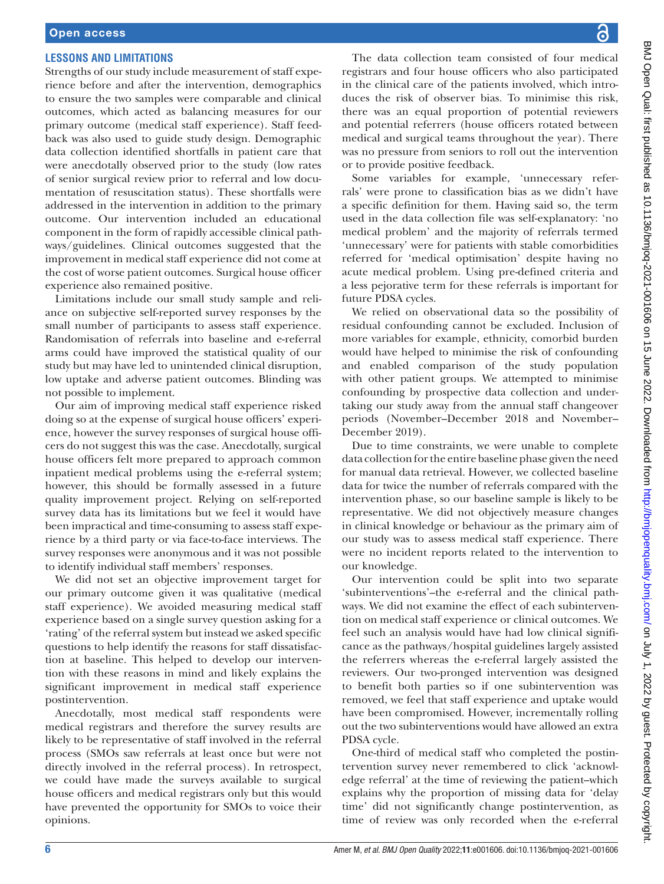# **LESSONS AND LIMITATIONS**

Strengths of our study include measurement of staff experience before and after the intervention, demographics to ensure the two samples were comparable and clinical outcomes, which acted as balancing measures for our primary outcome (medical staff experience). Staff feedback was also used to guide study design. Demographic data collection identified shortfalls in patient care that were anecdotally observed prior to the study (low rates of senior surgical review prior to referral and low documentation of resuscitation status). These shortfalls were addressed in the intervention in addition to the primary outcome. Our intervention included an educational component in the form of rapidly accessible clinical pathways/guidelines. Clinical outcomes suggested that the improvement in medical staff experience did not come at the cost of worse patient outcomes. Surgical house officer experience also remained positive.

Limitations include our small study sample and reliance on subjective self-reported survey responses by the small number of participants to assess staff experience. Randomisation of referrals into baseline and e-referral arms could have improved the statistical quality of our study but may have led to unintended clinical disruption, low uptake and adverse patient outcomes. Blinding was not possible to implement.

Our aim of improving medical staff experience risked doing so at the expense of surgical house officers' experience, however the survey responses of surgical house officers do not suggest this was the case. Anecdotally, surgical house officers felt more prepared to approach common inpatient medical problems using the e-referral system; however, this should be formally assessed in a future quality improvement project. Relying on self-reported survey data has its limitations but we feel it would have been impractical and time-consuming to assess staff experience by a third party or via face-to-face interviews. The survey responses were anonymous and it was not possible to identify individual staff members' responses.

We did not set an objective improvement target for our primary outcome given it was qualitative (medical staff experience). We avoided measuring medical staff experience based on a single survey question asking for a 'rating' of the referral system but instead we asked specific questions to help identify the reasons for staff dissatisfaction at baseline. This helped to develop our intervention with these reasons in mind and likely explains the significant improvement in medical staff experience postintervention.

Anecdotally, most medical staff respondents were medical registrars and therefore the survey results are likely to be representative of staff involved in the referral process (SMOs saw referrals at least once but were not directly involved in the referral process). In retrospect, we could have made the surveys available to surgical house officers and medical registrars only but this would have prevented the opportunity for SMOs to voice their opinions.

The data collection team consisted of four medical registrars and four house officers who also participated in the clinical care of the patients involved, which introduces the risk of observer bias. To minimise this risk, there was an equal proportion of potential reviewers and potential referrers (house officers rotated between medical and surgical teams throughout the year). There was no pressure from seniors to roll out the intervention or to provide positive feedback.

Some variables for example, 'unnecessary referrals' were prone to classification bias as we didn't have a specific definition for them. Having said so, the term used in the data collection file was self-explanatory: 'no medical problem' and the majority of referrals termed 'unnecessary' were for patients with stable comorbidities referred for 'medical optimisation' despite having no acute medical problem. Using pre-defined criteria and a less pejorative term for these referrals is important for future PDSA cycles.

We relied on observational data so the possibility of residual confounding cannot be excluded. Inclusion of more variables for example, ethnicity, comorbid burden would have helped to minimise the risk of confounding and enabled comparison of the study population with other patient groups. We attempted to minimise confounding by prospective data collection and undertaking our study away from the annual staff changeover periods (November–December 2018 and November– December 2019).

Due to time constraints, we were unable to complete data collection for the entire baseline phase given the need for manual data retrieval. However, we collected baseline data for twice the number of referrals compared with the intervention phase, so our baseline sample is likely to be representative. We did not objectively measure changes in clinical knowledge or behaviour as the primary aim of our study was to assess medical staff experience. There were no incident reports related to the intervention to our knowledge.

Our intervention could be split into two separate 'subinterventions'–the e-referral and the clinical pathways. We did not examine the effect of each subintervention on medical staff experience or clinical outcomes. We feel such an analysis would have had low clinical significance as the pathways/hospital guidelines largely assisted the referrers whereas the e-referral largely assisted the reviewers. Our two-pronged intervention was designed to benefit both parties so if one subintervention was removed, we feel that staff experience and uptake would have been compromised. However, incrementally rolling out the two subinterventions would have allowed an extra PDSA cycle.

One-third of medical staff who completed the postintervention survey never remembered to click 'acknowledge referral' at the time of reviewing the patient–which explains why the proportion of missing data for 'delay time' did not significantly change postintervention, as time of review was only recorded when the e-referral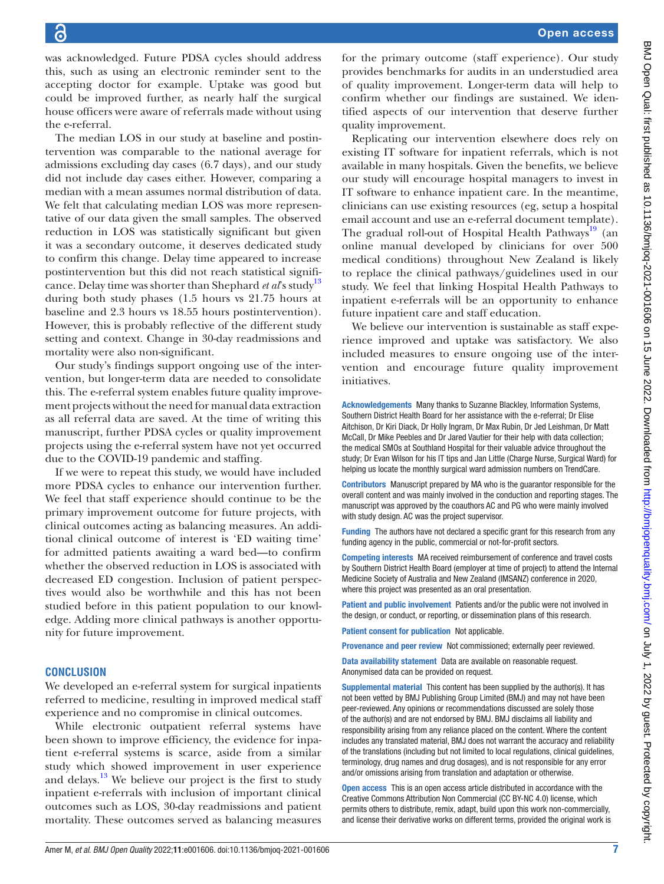was acknowledged. Future PDSA cycles should address this, such as using an electronic reminder sent to the accepting doctor for example. Uptake was good but could be improved further, as nearly half the surgical house officers were aware of referrals made without using the e-referral.

The median LOS in our study at baseline and postintervention was comparable to the national average for admissions excluding day cases (6.7 days), and our study did not include day cases either. However, comparing a median with a mean assumes normal distribution of data. We felt that calculating median LOS was more representative of our data given the small samples. The observed reduction in LOS was statistically significant but given it was a secondary outcome, it deserves dedicated study to confirm this change. Delay time appeared to increase postintervention but this did not reach statistical significance. Delay time was shorter than Shephard *et al*'s study<sup>[13](#page-7-5)</sup> during both study phases (1.5 hours vs 21.75 hours at baseline and 2.3 hours vs 18.55 hours postintervention). However, this is probably reflective of the different study setting and context. Change in 30-day readmissions and mortality were also non-significant.

Our study's findings support ongoing use of the intervention, but longer-term data are needed to consolidate this. The e-referral system enables future quality improvement projects without the need for manual data extraction as all referral data are saved. At the time of writing this manuscript, further PDSA cycles or quality improvement projects using the e-referral system have not yet occurred due to the COVID-19 pandemic and staffing.

If we were to repeat this study, we would have included more PDSA cycles to enhance our intervention further. We feel that staff experience should continue to be the primary improvement outcome for future projects, with clinical outcomes acting as balancing measures. An additional clinical outcome of interest is 'ED waiting time' for admitted patients awaiting a ward bed—to confirm whether the observed reduction in LOS is associated with decreased ED congestion. Inclusion of patient perspectives would also be worthwhile and this has not been studied before in this patient population to our knowledge. Adding more clinical pathways is another opportunity for future improvement.

# **CONCLUSION**

We developed an e-referral system for surgical inpatients referred to medicine, resulting in improved medical staff experience and no compromise in clinical outcomes.

While electronic outpatient referral systems have been shown to improve efficiency, the evidence for inpatient e-referral systems is scarce, aside from a similar study which showed improvement in user experience and delays. $13$  We believe our project is the first to study inpatient e-referrals with inclusion of important clinical outcomes such as LOS, 30-day readmissions and patient mortality. These outcomes served as balancing measures

for the primary outcome (staff experience). Our study provides benchmarks for audits in an understudied area of quality improvement. Longer-term data will help to confirm whether our findings are sustained. We identified aspects of our intervention that deserve further quality improvement.

Replicating our intervention elsewhere does rely on existing IT software for inpatient referrals, which is not available in many hospitals. Given the benefits, we believe our study will encourage hospital managers to invest in IT software to enhance inpatient care. In the meantime, clinicians can use existing resources (eg, setup a hospital email account and use an e-referral document template). The gradual roll-out of Hospital Health Pathways<sup>19</sup> (an online manual developed by clinicians for over 500 medical conditions) throughout New Zealand is likely to replace the clinical pathways/guidelines used in our study. We feel that linking Hospital Health Pathways to inpatient e-referrals will be an opportunity to enhance future inpatient care and staff education.

We believe our intervention is sustainable as staff experience improved and uptake was satisfactory. We also included measures to ensure ongoing use of the intervention and encourage future quality improvement initiatives.

Acknowledgements Many thanks to Suzanne Blackley, Information Systems, Southern District Health Board for her assistance with the e-referral; Dr Elise Aitchison, Dr Kiri Diack, Dr Holly Ingram, Dr Max Rubin, Dr Jed Leishman, Dr Matt McCall, Dr Mike Peebles and Dr Jared Vautier for their help with data collection; the medical SMOs at Southland Hospital for their valuable advice throughout the study; Dr Evan Wilson for his IT tips and Jan Little (Charge Nurse, Surgical Ward) for helping us locate the monthly surgical ward admission numbers on TrendCare.

Contributors Manuscript prepared by MA who is the guarantor responsible for the overall content and was mainly involved in the conduction and reporting stages. The manuscript was approved by the coauthors AC and PG who were mainly involved with study design. AC was the project supervisor.

Funding The authors have not declared a specific grant for this research from any funding agency in the public, commercial or not-for-profit sectors.

Competing interests MA received reimbursement of conference and travel costs by Southern District Health Board (employer at time of project) to attend the Internal Medicine Society of Australia and New Zealand (IMSANZ) conference in 2020, where this project was presented as an oral presentation.

Patient and public involvement Patients and/or the public were not involved in the design, or conduct, or reporting, or dissemination plans of this research.

Patient consent for publication Not applicable.

Provenance and peer review Not commissioned; externally peer reviewed.

Data availability statement Data are available on reasonable request. Anonymised data can be provided on request.

Supplemental material This content has been supplied by the author(s). It has not been vetted by BMJ Publishing Group Limited (BMJ) and may not have been peer-reviewed. Any opinions or recommendations discussed are solely those of the author(s) and are not endorsed by BMJ. BMJ disclaims all liability and responsibility arising from any reliance placed on the content. Where the content includes any translated material, BMJ does not warrant the accuracy and reliability of the translations (including but not limited to local regulations, clinical guidelines, terminology, drug names and drug dosages), and is not responsible for any error and/or omissions arising from translation and adaptation or otherwise.

Open access This is an open access article distributed in accordance with the Creative Commons Attribution Non Commercial (CC BY-NC 4.0) license, which permits others to distribute, remix, adapt, build upon this work non-commercially, and license their derivative works on different terms, provided the original work is